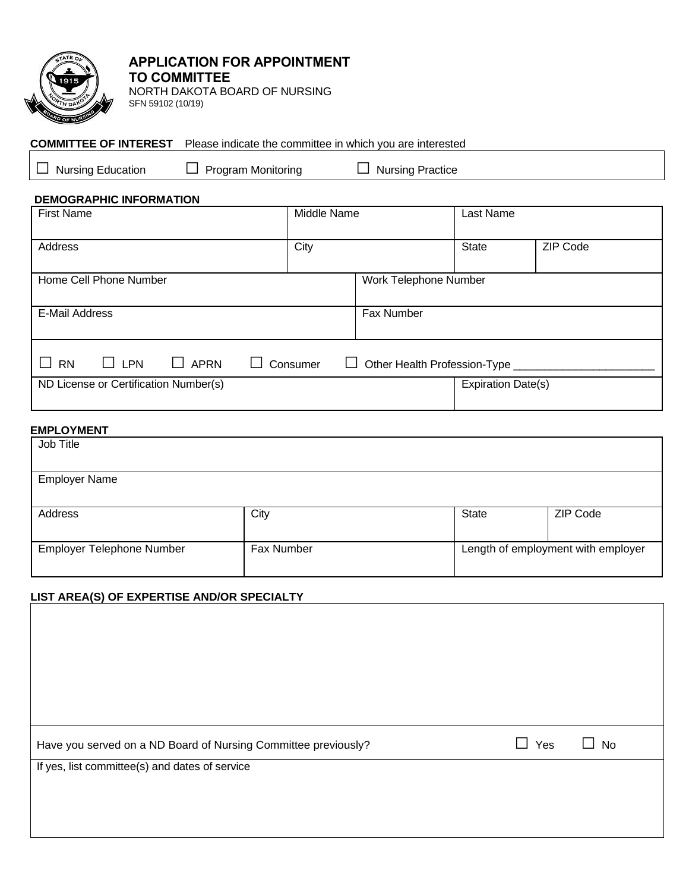

# **APPLICATION FOR APPOINTMENT TO COMMITTEE**

NORTH DAKOTA BOARD OF NURSING SFN 59102 (10/19)

### **COMMITTEE OF INTEREST** Please indicate the committee in which you are interested

□ Nursing Education □ Program Monitoring □ Nursing Practice

#### **DEMOGRAPHIC INFORMATION**

| <b>First Name</b>                                                                                                           |  |  |  | Middle Name |                       |            | Last Name                 |                 |
|-----------------------------------------------------------------------------------------------------------------------------|--|--|--|-------------|-----------------------|------------|---------------------------|-----------------|
| Address                                                                                                                     |  |  |  | City        |                       |            | <b>State</b>              | <b>ZIP Code</b> |
| Home Cell Phone Number                                                                                                      |  |  |  |             | Work Telephone Number |            |                           |                 |
| <b>E-Mail Address</b>                                                                                                       |  |  |  |             |                       | Fax Number |                           |                 |
| $\mathcal{L}_{\mathcal{A}}$<br><b>APRN</b><br>$\Box$ LPN<br>Consumer<br><b>RN</b><br>Other Health Profession-Type<br>$\Box$ |  |  |  |             |                       |            |                           |                 |
| ND License or Certification Number(s)                                                                                       |  |  |  |             |                       |            | <b>Expiration Date(s)</b> |                 |

# **EMPLOYMENT**

| Job Title                 |            |                                    |          |  |
|---------------------------|------------|------------------------------------|----------|--|
| <b>Employer Name</b>      |            |                                    |          |  |
| Address                   | City       | State                              | ZIP Code |  |
| Employer Telephone Number | Fax Number | Length of employment with employer |          |  |

### **LIST AREA(S) OF EXPERTISE AND/OR SPECIALTY**

| Have you served on a ND Board of Nursing Committee previously? | Yes | <b>No</b> |  |
|----------------------------------------------------------------|-----|-----------|--|
| If yes, list committee(s) and dates of service                 |     |           |  |
|                                                                |     |           |  |
|                                                                |     |           |  |